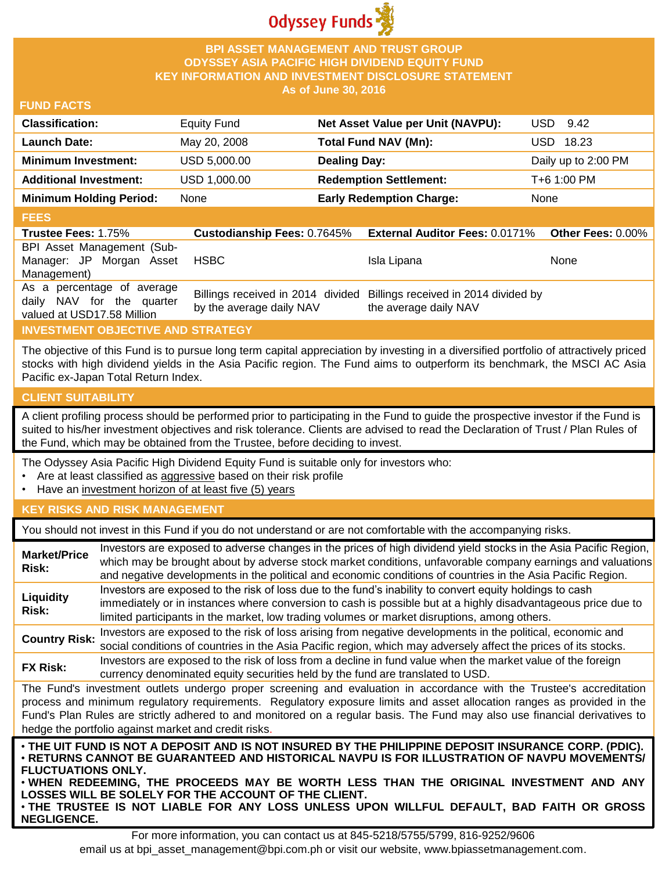

## **BPI ASSET MANAGEMENT AND TRUST GROUP ODYSSEY ASIA PACIFIC HIGH DIVIDEND EQUITY FUND KEY INFORMATION AND INVESTMENT DISCLOSURE STATEMENT As of June 30, 2016**

## **FUND FACTS**

| <b>Classification:</b>         | <b>Equity Fund</b> | Net Asset Value per Unit (NAVPU): | USD 9.42            |
|--------------------------------|--------------------|-----------------------------------|---------------------|
| Launch Date:                   | May 20, 2008       | <b>Total Fund NAV (Mn):</b>       | USD 18.23           |
| <b>Minimum Investment:</b>     | USD 5,000.00       | <b>Dealing Day:</b>               | Daily up to 2:00 PM |
| <b>Additional Investment:</b>  | USD 1,000.00       | <b>Redemption Settlement:</b>     | T+6 1:00 PM         |
| <b>Minimum Holding Period:</b> | None               | <b>Early Redemption Charge:</b>   | None                |

#### **FEES**

| <b>Trustee Fees: 1.75%</b>                                                            | <b>Custodianship Fees: 0.7645%</b> | <b>External Auditor Fees: 0.0171% Other Fees: 0.00%</b>                                         |      |
|---------------------------------------------------------------------------------------|------------------------------------|-------------------------------------------------------------------------------------------------|------|
| BPI Asset Management (Sub-                                                            |                                    |                                                                                                 |      |
| Manager: JP Morgan Asset                                                              | HSBC                               | Isla Lipana                                                                                     | None |
| Management)                                                                           |                                    |                                                                                                 |      |
| As a percentage of average<br>daily NAV for the quarter<br>valued at USD17.58 Million | by the average daily NAV           | Billings received in 2014 divided Billings received in 2014 divided by<br>the average daily NAV |      |

## **INVESTMENT OBJECTIVE AND STRATEGY**

The objective of this Fund is to pursue long term capital appreciation by investing in a diversified portfolio of attractively priced stocks with high dividend yields in the Asia Pacific region. The Fund aims to outperform its benchmark, the MSCI AC Asia Pacific ex-Japan Total Return Index.

#### **CLIENT SUITABILITY**

A client profiling process should be performed prior to participating in the Fund to guide the prospective investor if the Fund is suited to his/her investment objectives and risk tolerance. Clients are advised to read the Declaration of Trust / Plan Rules of the Fund, which may be obtained from the Trustee, before deciding to invest.

The Odyssey Asia Pacific High Dividend Equity Fund is suitable only for investors who:

- Are at least classified as aggressive based on their risk profile
- Have an investment horizon of at least five (5) years

#### **KEY RISKS AND RISK MANAGEMENT**

You should not invest in this Fund if you do not understand or are not comfortable with the accompanying risks.

| <b>Market/Price</b><br>Risk:                                                                                                                                                                                                                                                                                                                                                                                                         | Investors are exposed to adverse changes in the prices of high dividend yield stocks in the Asia Pacific Region,<br>which may be brought about by adverse stock market conditions, unfavorable company earnings and valuations<br>and negative developments in the political and economic conditions of countries in the Asia Pacific Region. |  |  |  |
|--------------------------------------------------------------------------------------------------------------------------------------------------------------------------------------------------------------------------------------------------------------------------------------------------------------------------------------------------------------------------------------------------------------------------------------|-----------------------------------------------------------------------------------------------------------------------------------------------------------------------------------------------------------------------------------------------------------------------------------------------------------------------------------------------|--|--|--|
| Liquidity<br><b>Risk:</b>                                                                                                                                                                                                                                                                                                                                                                                                            | Investors are exposed to the risk of loss due to the fund's inability to convert equity holdings to cash<br>immediately or in instances where conversion to cash is possible but at a highly disadvantageous price due to<br>limited participants in the market, low trading volumes or market disruptions, among others.                     |  |  |  |
| <b>Country Risk:</b>                                                                                                                                                                                                                                                                                                                                                                                                                 | Investors are exposed to the risk of loss arising from negative developments in the political, economic and<br>social conditions of countries in the Asia Pacific region, which may adversely affect the prices of its stocks.                                                                                                                |  |  |  |
| <b>FX Risk:</b>                                                                                                                                                                                                                                                                                                                                                                                                                      | Investors are exposed to the risk of loss from a decline in fund value when the market value of the foreign<br>currency denominated equity securities held by the fund are translated to USD.                                                                                                                                                 |  |  |  |
| The Fund's investment outlets undergo proper screening and evaluation in accordance with the Trustee's accreditation<br>process and minimum regulatory requirements. Regulatory exposure limits and asset allocation ranges as provided in the<br>Fund's Plan Rules are strictly adhered to and monitored on a regular basis. The Fund may also use financial derivatives to<br>hedge the portfolio against market and credit risks. |                                                                                                                                                                                                                                                                                                                                               |  |  |  |
| . THE UIT FUND IS NOT A DEPOSIT AND IS NOT INSURED BY THE PHILIPPINE DEPOSIT INSURANCE CORP. (PDIC).<br>⋅RETURNS CANNOT BE GUARANTEED AND HISTORICAL NAVPU IS FOR ILLUSTRATION OF NAVPU MOVEMENTS/<br><b>FLUCTUATIONS ONLY.</b><br>. WHEN REDEEMING, THE PROCEEDS MAY BE WORTH LESS THAN THE ORIGINAL INVESTMENT AND ANY<br>LOSSES WILL BE SOLELY FOR THE ACCOUNT OF THE CLIENT.                                                     |                                                                                                                                                                                                                                                                                                                                               |  |  |  |

• **THE TRUSTEE IS NOT LIABLE FOR ANY LOSS UNLESS UPON WILLFUL DEFAULT, BAD FAITH OR GROSS NEGLIGENCE.**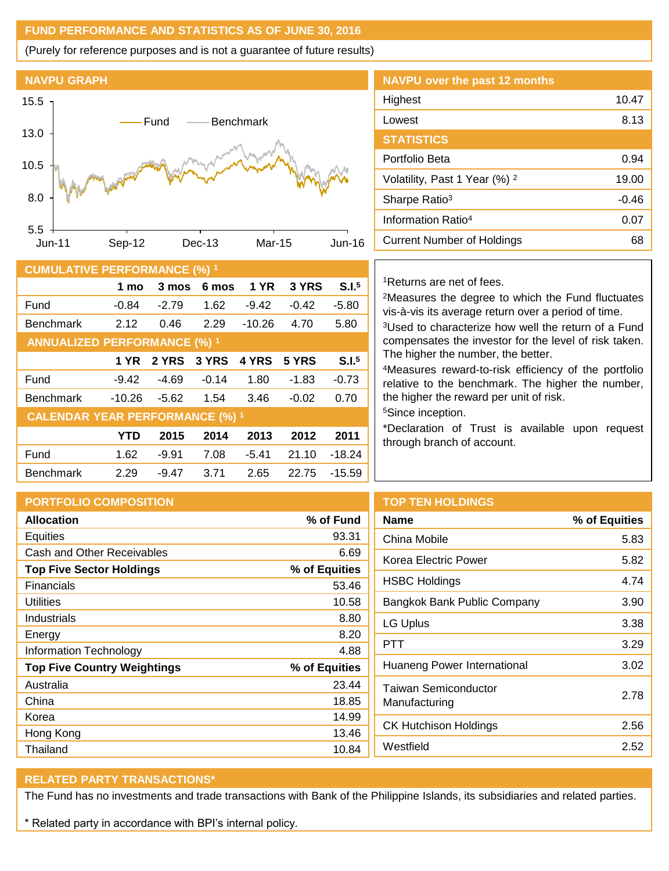## **FUND PERFORMANCE AND STATISTICS AS OF JUNE 30, 2016**

(Purely for reference purposes and is not a guarantee of future results)



| <b>CUMULATIVE PERFORMANCE (%) 1</b>    |            |         |         |             |         |                   |
|----------------------------------------|------------|---------|---------|-------------|---------|-------------------|
|                                        | 1 mo       | 3 mos   | 6 mos   | <b>1 YR</b> | 3 YRS   | S.I. <sup>5</sup> |
| Fund                                   | $-0.84$    | $-2.79$ | 1.62    | $-9.42$     | $-0.42$ | $-5.80$           |
| <b>Benchmark</b>                       | 2.12       | 0.46    | 2.29    | $-10.26$    | 4.70    | 5.80              |
| <b>ANNUALIZED PERFORMANCE (%) 1</b>    |            |         |         |             |         |                   |
|                                        | 1 YR       | 2 YRS   | 3 YRS   | 4 YRS       | 5 YRS   | S.I. <sup>5</sup> |
| Fund                                   | $-9.42$    | $-4.69$ | $-0.14$ | 1.80        | $-1.83$ | $-0.73$           |
| <b>Benchmark</b>                       | $-10.26$   | $-5.62$ | 1.54    | 3.46        | $-0.02$ | 0.70              |
| <b>CALENDAR YEAR PERFORMANCE (%) 1</b> |            |         |         |             |         |                   |
|                                        | <b>YTD</b> | 2015    | 2014    | 2013        | 2012    | 2011              |
| Fund                                   | 1.62       | $-9.91$ | 7.08    | $-5.41$     | 21.10   | $-18.24$          |
| <b>Benchmark</b>                       | 2.29       | $-9.47$ | 3.71    | 2.65        | 22.75   | $-15.59$          |

| <b>NAVPU</b> over the past 12 months     |         |
|------------------------------------------|---------|
| Highest                                  | 10.47   |
| Lowest                                   | 8.13    |
| <b>STATISTICS</b>                        |         |
| Portfolio Beta                           | 0.94    |
| Volatility, Past 1 Year (%) <sup>2</sup> | 19.00   |
| Sharpe Ratio <sup>3</sup>                | $-0.46$ |
| Information Ratio <sup>4</sup>           | 0.07    |
| Current Number of Holdings               | 68      |
|                                          |         |

#### <sup>1</sup>Returns are net of fees.

<sup>2</sup>Measures the degree to which the Fund fluctuates vis-à-vis its average return over a period of time.

<sup>3</sup>Used to characterize how well the return of a Fund compensates the investor for the level of risk taken. The higher the number, the better.

<sup>4</sup>Measures reward-to-risk efficiency of the portfolio relative to the benchmark. The higher the number, the higher the reward per unit of risk.

<sup>5</sup>Since inception.

\*Declaration of Trust is available upon request through branch of account.

|               | ТС |
|---------------|----|
| % of Fund     | Na |
| 93.31         | Cr |
| 6.69          | Κo |
| % of Equities |    |
| 53.46         | HS |
| 10.58         | Вa |
| 8.80          | LG |
| 8.20          |    |
| 4.88          | PT |
| % of Equities | Hι |
| 23.44         | Та |
| 18.85         | Mε |
| 14.99         | C۲ |
| 13.46         |    |
| 10.84         | W١ |
|               |    |

# **P TEN HOLDINGS**

| <b>Name</b>                           | % of Equities |
|---------------------------------------|---------------|
| China Mobile                          | 5.83          |
| Korea Electric Power                  | 5.82          |
| <b>HSBC Holdings</b>                  | 4.74          |
| Bangkok Bank Public Company           | 3.90          |
| LG Uplus                              | 3.38          |
| PTT                                   | 3.29          |
| Huaneng Power International           | 3.02          |
| Taiwan Semiconductor<br>Manufacturing | 2.78          |
| CK Hutchison Holdings                 | 2.56          |
| Westfield                             | 2.52          |
|                                       |               |

## **RELATED PARTY TRANSACTIONS\***

The Fund has no investments and trade transactions with Bank of the Philippine Islands, its subsidiaries and related parties.

\* Related party in accordance with BPI's internal policy.